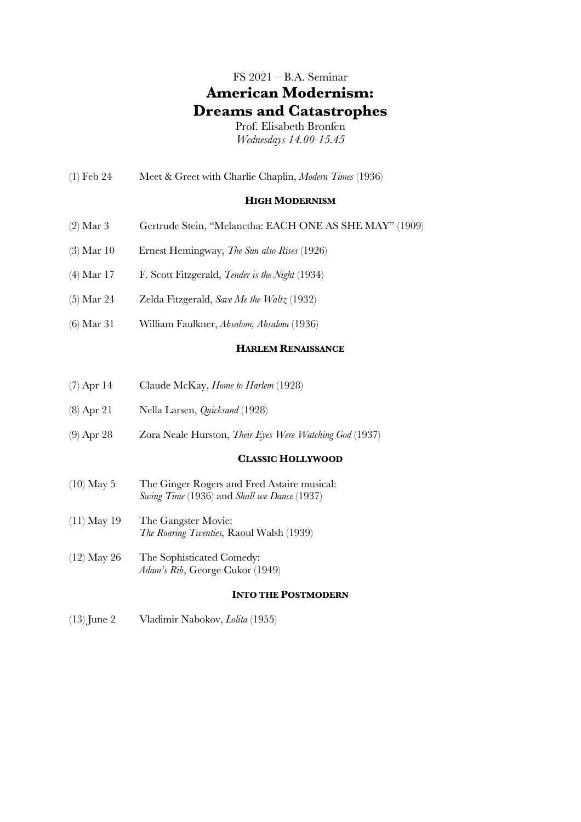# FS 2021 – B.A. Seminar **American Modernism: Dreams and Catastrophes**

Prof. Elisabeth Bronfen *Wednesdays 14.00-15.45*

(1) Feb 24 Meet & Greet with Charlie Chaplin, *Modern Times* (1936)

#### **HIGH MODERNISM**

- (2) Mar 3 Gertrude Stein, "Melanctha: EACH ONE AS SHE MAY" (1909)
- (3) Mar 10 Ernest Hemingway, *The Sun also Rises* (1926)
- (4) Mar 17 F. Scott Fitzgerald, *Tender is the Night* (1934)
- (5) Mar 24 Zelda Fitzgerald, *Save Me the Waltz* (1932)
- (6) Mar 31 William Faulkner, *Absalom, Absalom* (1936)

### **HARLEM RENAISSANCE**

- (7) Apr 14 Claude McKay, *Home to Harlem* (1928)
- (8) Apr 21 Nella Larsen, *Quicksand* (1928)
- (9) Apr 28 Zora Neale Hurston, *Their Eyes Were Watching God* (1937)

### **CLASSIC HOLLYWOOD**

- (10) May 5 The Ginger Rogers and Fred Astaire musical: *Swing Time* (1936) and *Shall we Dance* (1937)
- (11) May 19 The Gangster Movie: *The Roaring Twenties,* Raoul Walsh (1939)
- (12) May 26 The Sophisticated Comedy: *Adam's Rib*, George Cukor (1949)

#### **INTO THE POSTMODERN**

(13) June 2 Vladimir Nabokov, *Lolita* (1955)